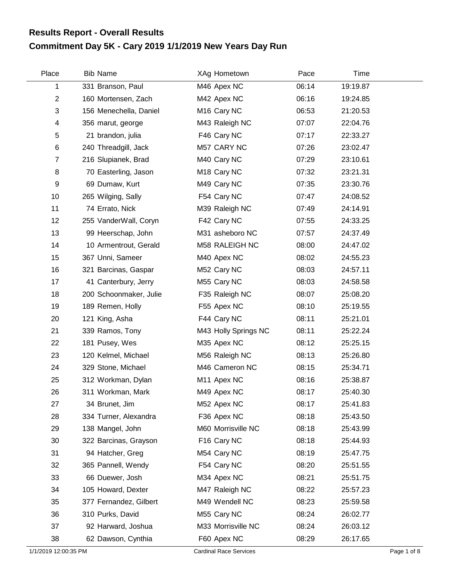## **Commitment Day 5K - Cary 2019 1/1/2019 New Years Day Run Results Report - Overall Results**

| Place          | <b>Bib Name</b>        | XAg Hometown            | Pace  | Time     |  |
|----------------|------------------------|-------------------------|-------|----------|--|
| 1              | 331 Branson, Paul      | M46 Apex NC             | 06:14 | 19:19.87 |  |
| $\overline{2}$ | 160 Mortensen, Zach    | M42 Apex NC             | 06:16 | 19:24.85 |  |
| 3              | 156 Menechella, Daniel | M <sub>16</sub> Cary NC | 06:53 | 21:20.53 |  |
| 4              | 356 marut, george      | M43 Raleigh NC          | 07:07 | 22:04.76 |  |
| 5              | 21 brandon, julia      | F46 Cary NC             | 07:17 | 22:33.27 |  |
| $\,6$          | 240 Threadgill, Jack   | M57 CARY NC             | 07:26 | 23:02.47 |  |
| $\overline{7}$ | 216 Slupianek, Brad    | M40 Cary NC             | 07:29 | 23:10.61 |  |
| 8              | 70 Easterling, Jason   | M <sub>18</sub> Cary NC | 07:32 | 23:21.31 |  |
| 9              | 69 Dumaw, Kurt         | M49 Cary NC             | 07:35 | 23:30.76 |  |
| 10             | 265 Wilging, Sally     | F54 Cary NC             | 07:47 | 24:08.52 |  |
| 11             | 74 Errato, Nick        | M39 Raleigh NC          | 07:49 | 24:14.91 |  |
| 12             | 255 VanderWall, Coryn  | F42 Cary NC             | 07:55 | 24:33.25 |  |
| 13             | 99 Heerschap, John     | M31 asheboro NC         | 07:57 | 24:37.49 |  |
| 14             | 10 Armentrout, Gerald  | M58 RALEIGH NC          | 08:00 | 24:47.02 |  |
| 15             | 367 Unni, Sameer       | M40 Apex NC             | 08:02 | 24:55.23 |  |
| 16             | 321 Barcinas, Gaspar   | M52 Cary NC             | 08:03 | 24:57.11 |  |
| 17             | 41 Canterbury, Jerry   | M55 Cary NC             | 08:03 | 24:58.58 |  |
| 18             | 200 Schoonmaker, Julie | F35 Raleigh NC          | 08:07 | 25:08.20 |  |
| 19             | 189 Remen, Holly       | F55 Apex NC             | 08:10 | 25:19.55 |  |
| 20             | 121 King, Asha         | F44 Cary NC             | 08:11 | 25:21.01 |  |
| 21             | 339 Ramos, Tony        | M43 Holly Springs NC    | 08:11 | 25:22.24 |  |
| 22             | 181 Pusey, Wes         | M35 Apex NC             | 08:12 | 25:25.15 |  |
| 23             | 120 Kelmel, Michael    | M56 Raleigh NC          | 08:13 | 25:26.80 |  |
| 24             | 329 Stone, Michael     | M46 Cameron NC          | 08:15 | 25:34.71 |  |
| 25             | 312 Workman, Dylan     | M11 Apex NC             | 08:16 | 25:38.87 |  |
| 26             | 311 Workman, Mark      | M49 Apex NC             | 08:17 | 25:40.30 |  |
| 27             | 34 Brunet, Jim         | M52 Apex NC             | 08:17 | 25:41.83 |  |
| 28             | 334 Turner, Alexandra  | F36 Apex NC             | 08:18 | 25:43.50 |  |
| 29             | 138 Mangel, John       | M60 Morrisville NC      | 08:18 | 25:43.99 |  |
| 30             | 322 Barcinas, Grayson  | F16 Cary NC             | 08:18 | 25:44.93 |  |
| 31             | 94 Hatcher, Greg       | M54 Cary NC             | 08:19 | 25:47.75 |  |
| 32             | 365 Pannell, Wendy     | F54 Cary NC             | 08:20 | 25:51.55 |  |
| 33             | 66 Duewer, Josh        | M34 Apex NC             | 08:21 | 25:51.75 |  |
| 34             | 105 Howard, Dexter     | M47 Raleigh NC          | 08:22 | 25:57.23 |  |
| 35             | 377 Fernandez, Gilbert | M49 Wendell NC          | 08:23 | 25:59.58 |  |
| 36             | 310 Purks, David       | M55 Cary NC             | 08:24 | 26:02.77 |  |
| 37             | 92 Harward, Joshua     | M33 Morrisville NC      | 08:24 | 26:03.12 |  |
| 38             | 62 Dawson, Cynthia     | F60 Apex NC             | 08:29 | 26:17.65 |  |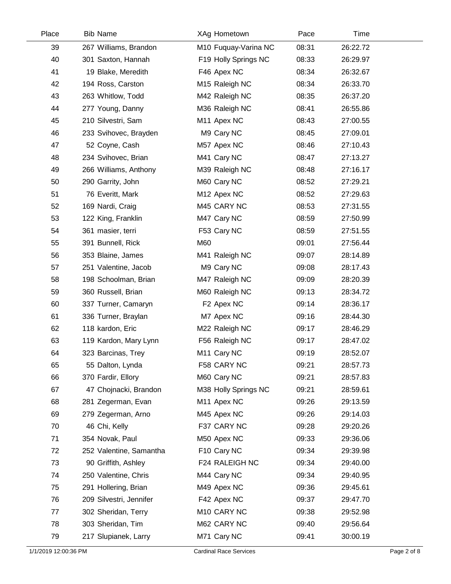| Place | <b>Bib Name</b>         | XAg Hometown               | Pace  | Time     |  |
|-------|-------------------------|----------------------------|-------|----------|--|
| 39    | 267 Williams, Brandon   | M10 Fuquay-Varina NC       | 08:31 | 26:22.72 |  |
| 40    | 301 Saxton, Hannah      | F19 Holly Springs NC       | 08:33 | 26:29.97 |  |
| 41    | 19 Blake, Meredith      | F46 Apex NC                | 08:34 | 26:32.67 |  |
| 42    | 194 Ross, Carston       | M <sub>15</sub> Raleigh NC | 08:34 | 26:33.70 |  |
| 43    | 263 Whitlow, Todd       | M42 Raleigh NC             | 08:35 | 26:37.20 |  |
| 44    | 277 Young, Danny        | M36 Raleigh NC             | 08:41 | 26:55.86 |  |
| 45    | 210 Silvestri, Sam      | M11 Apex NC                | 08:43 | 27:00.55 |  |
| 46    | 233 Svihovec, Brayden   | M9 Cary NC                 | 08:45 | 27:09.01 |  |
| 47    | 52 Coyne, Cash          | M57 Apex NC                | 08:46 | 27:10.43 |  |
| 48    | 234 Svihovec, Brian     | M41 Cary NC                | 08:47 | 27:13.27 |  |
| 49    | 266 Williams, Anthony   | M39 Raleigh NC             | 08:48 | 27:16.17 |  |
| 50    | 290 Garrity, John       | M60 Cary NC                | 08:52 | 27:29.21 |  |
| 51    | 76 Everitt, Mark        | M12 Apex NC                | 08:52 | 27:29.63 |  |
| 52    | 169 Nardi, Craig        | M45 CARY NC                | 08:53 | 27:31.55 |  |
| 53    | 122 King, Franklin      | M47 Cary NC                | 08:59 | 27:50.99 |  |
| 54    | 361 masier, terri       | F53 Cary NC                | 08:59 | 27:51.55 |  |
| 55    | 391 Bunnell, Rick       | M60                        | 09:01 | 27:56.44 |  |
| 56    | 353 Blaine, James       | M41 Raleigh NC             | 09:07 | 28:14.89 |  |
| 57    | 251 Valentine, Jacob    | M9 Cary NC                 | 09:08 | 28:17.43 |  |
| 58    | 198 Schoolman, Brian    | M47 Raleigh NC             | 09:09 | 28:20.39 |  |
| 59    | 360 Russell, Brian      | M60 Raleigh NC             | 09:13 | 28:34.72 |  |
| 60    | 337 Turner, Camaryn     | F2 Apex NC                 | 09:14 | 28:36.17 |  |
| 61    | 336 Turner, Braylan     | M7 Apex NC                 | 09:16 | 28:44.30 |  |
| 62    | 118 kardon, Eric        | M22 Raleigh NC             | 09:17 | 28:46.29 |  |
| 63    | 119 Kardon, Mary Lynn   | F56 Raleigh NC             | 09:17 | 28:47.02 |  |
| 64    | 323 Barcinas, Trey      | M <sub>11</sub> Cary NC    | 09:19 | 28:52.07 |  |
| 65    | 55 Dalton, Lynda        | F58 CARY NC                | 09:21 | 28:57.73 |  |
| 66    | 370 Fardir, Ellory      | M60 Cary NC                | 09:21 | 28:57.83 |  |
| 67    | 47 Chojnacki, Brandon   | M38 Holly Springs NC       | 09:21 | 28:59.61 |  |
| 68    | 281 Zegerman, Evan      | M11 Apex NC                | 09:26 | 29:13.59 |  |
| 69    | 279 Zegerman, Arno      | M45 Apex NC                | 09:26 | 29:14.03 |  |
| 70    | 46 Chi, Kelly           | F37 CARY NC                | 09:28 | 29:20.26 |  |
| 71    | 354 Novak, Paul         | M50 Apex NC                | 09:33 | 29:36.06 |  |
| 72    | 252 Valentine, Samantha | F10 Cary NC                | 09:34 | 29:39.98 |  |
| 73    | 90 Griffith, Ashley     | F24 RALEIGH NC             | 09:34 | 29:40.00 |  |
| 74    | 250 Valentine, Chris    | M44 Cary NC                | 09:34 | 29:40.95 |  |
| 75    | 291 Hollering, Brian    | M49 Apex NC                | 09:36 | 29:45.61 |  |
| 76    | 209 Silvestri, Jennifer | F42 Apex NC                | 09:37 | 29:47.70 |  |
| 77    | 302 Sheridan, Terry     | M10 CARY NC                | 09:38 | 29:52.98 |  |
| 78    | 303 Sheridan, Tim       | M62 CARY NC                | 09:40 | 29:56.64 |  |
| 79    | 217 Slupianek, Larry    | M71 Cary NC                | 09:41 | 30:00.19 |  |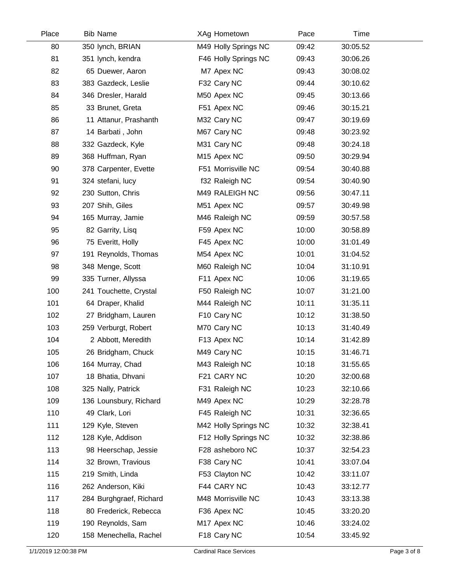| Place | <b>Bib Name</b>         | XAg Hometown            | Pace  | Time     |  |
|-------|-------------------------|-------------------------|-------|----------|--|
| 80    | 350 lynch, BRIAN        | M49 Holly Springs NC    | 09:42 | 30:05.52 |  |
| 81    | 351 lynch, kendra       | F46 Holly Springs NC    | 09:43 | 30:06.26 |  |
| 82    | 65 Duewer, Aaron        | M7 Apex NC              | 09:43 | 30:08.02 |  |
| 83    | 383 Gazdeck, Leslie     | F32 Cary NC             | 09:44 | 30:10.62 |  |
| 84    | 346 Dresler, Harald     | M50 Apex NC             | 09:45 | 30:13.66 |  |
| 85    | 33 Brunet, Greta        | F51 Apex NC             | 09:46 | 30:15.21 |  |
| 86    | 11 Attanur, Prashanth   | M32 Cary NC             | 09:47 | 30:19.69 |  |
| 87    | 14 Barbati, John        | M67 Cary NC             | 09:48 | 30:23.92 |  |
| 88    | 332 Gazdeck, Kyle       | M31 Cary NC             | 09:48 | 30:24.18 |  |
| 89    | 368 Huffman, Ryan       | M <sub>15</sub> Apex NC | 09:50 | 30:29.94 |  |
| 90    | 378 Carpenter, Evette   | F51 Morrisville NC      | 09:54 | 30:40.88 |  |
| 91    | 324 stefani, lucy       | f32 Raleigh NC          | 09:54 | 30:40.90 |  |
| 92    | 230 Sutton, Chris       | M49 RALEIGH NC          | 09:56 | 30:47.11 |  |
| 93    | 207 Shih, Giles         | M51 Apex NC             | 09:57 | 30:49.98 |  |
| 94    | 165 Murray, Jamie       | M46 Raleigh NC          | 09:59 | 30:57.58 |  |
| 95    | 82 Garrity, Lisq        | F59 Apex NC             | 10:00 | 30:58.89 |  |
| 96    | 75 Everitt, Holly       | F45 Apex NC             | 10:00 | 31:01.49 |  |
| 97    | 191 Reynolds, Thomas    | M54 Apex NC             | 10:01 | 31:04.52 |  |
| 98    | 348 Menge, Scott        | M60 Raleigh NC          | 10:04 | 31:10.91 |  |
| 99    | 335 Turner, Allyssa     | F11 Apex NC             | 10:06 | 31:19.65 |  |
| 100   | 241 Touchette, Crystal  | F50 Raleigh NC          | 10:07 | 31:21.00 |  |
| 101   | 64 Draper, Khalid       | M44 Raleigh NC          | 10:11 | 31:35.11 |  |
| 102   | 27 Bridgham, Lauren     | F10 Cary NC             | 10:12 | 31:38.50 |  |
| 103   | 259 Verburgt, Robert    | M70 Cary NC             | 10:13 | 31:40.49 |  |
| 104   | 2 Abbott, Meredith      | F13 Apex NC             | 10:14 | 31:42.89 |  |
| 105   | 26 Bridgham, Chuck      | M49 Cary NC             | 10:15 | 31:46.71 |  |
| 106   | 164 Murray, Chad        | M43 Raleigh NC          | 10:18 | 31:55.65 |  |
| 107   | 18 Bhatia, Dhvani       | F21 CARY NC             | 10:20 | 32:00.68 |  |
| 108   | 325 Nally, Patrick      | F31 Raleigh NC          | 10:23 | 32:10.66 |  |
| 109   | 136 Lounsbury, Richard  | M49 Apex NC             | 10:29 | 32:28.78 |  |
| 110   | 49 Clark, Lori          | F45 Raleigh NC          | 10:31 | 32:36.65 |  |
| 111   | 129 Kyle, Steven        | M42 Holly Springs NC    | 10:32 | 32:38.41 |  |
| 112   | 128 Kyle, Addison       | F12 Holly Springs NC    | 10:32 | 32:38.86 |  |
| 113   | 98 Heerschap, Jessie    | F28 asheboro NC         | 10:37 | 32:54.23 |  |
| 114   | 32 Brown, Travious      | F38 Cary NC             | 10:41 | 33:07.04 |  |
| 115   | 219 Smith, Linda        | F53 Clayton NC          | 10:42 | 33:11.07 |  |
| 116   | 262 Anderson, Kiki      | F44 CARY NC             | 10:43 | 33:12.77 |  |
| 117   | 284 Burghgraef, Richard | M48 Morrisville NC      | 10:43 | 33:13.38 |  |
| 118   | 80 Frederick, Rebecca   | F36 Apex NC             | 10:45 | 33:20.20 |  |
| 119   | 190 Reynolds, Sam       | M17 Apex NC             | 10:46 | 33:24.02 |  |
| 120   | 158 Menechella, Rachel  | F18 Cary NC             | 10:54 | 33:45.92 |  |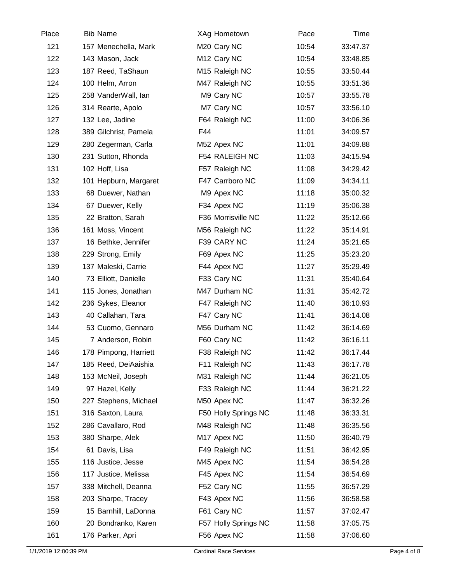| Place | <b>Bib Name</b>       | XAg Hometown            | Pace  | Time     |  |
|-------|-----------------------|-------------------------|-------|----------|--|
| 121   | 157 Menechella, Mark  | M20 Cary NC             | 10:54 | 33:47.37 |  |
| 122   | 143 Mason, Jack       | M <sub>12</sub> Cary NC | 10:54 | 33:48.85 |  |
| 123   | 187 Reed, TaShaun     | M15 Raleigh NC          | 10:55 | 33:50.44 |  |
| 124   | 100 Helm, Arron       | M47 Raleigh NC          | 10:55 | 33:51.36 |  |
| 125   | 258 VanderWall, Ian   | M9 Cary NC              | 10:57 | 33:55.78 |  |
| 126   | 314 Rearte, Apolo     | M7 Cary NC              | 10:57 | 33:56.10 |  |
| 127   | 132 Lee, Jadine       | F64 Raleigh NC          | 11:00 | 34:06.36 |  |
| 128   | 389 Gilchrist, Pamela | F44                     | 11:01 | 34:09.57 |  |
| 129   | 280 Zegerman, Carla   | M52 Apex NC             | 11:01 | 34:09.88 |  |
| 130   | 231 Sutton, Rhonda    | F54 RALEIGH NC          | 11:03 | 34:15.94 |  |
| 131   | 102 Hoff, Lisa        | F57 Raleigh NC          | 11:08 | 34:29.42 |  |
| 132   | 101 Hepburn, Margaret | F47 Carrboro NC         | 11:09 | 34:34.11 |  |
| 133   | 68 Duewer, Nathan     | M9 Apex NC              | 11:18 | 35:00.32 |  |
| 134   | 67 Duewer, Kelly      | F34 Apex NC             | 11:19 | 35:06.38 |  |
| 135   | 22 Bratton, Sarah     | F36 Morrisville NC      | 11:22 | 35:12.66 |  |
| 136   | 161 Moss, Vincent     | M56 Raleigh NC          | 11:22 | 35:14.91 |  |
| 137   | 16 Bethke, Jennifer   | F39 CARY NC             | 11:24 | 35:21.65 |  |
| 138   | 229 Strong, Emily     | F69 Apex NC             | 11:25 | 35:23.20 |  |
| 139   | 137 Maleski, Carrie   | F44 Apex NC             | 11:27 | 35:29.49 |  |
| 140   | 73 Elliott, Danielle  | F33 Cary NC             | 11:31 | 35:40.64 |  |
| 141   | 115 Jones, Jonathan   | M47 Durham NC           | 11:31 | 35:42.72 |  |
| 142   | 236 Sykes, Eleanor    | F47 Raleigh NC          | 11:40 | 36:10.93 |  |
| 143   | 40 Callahan, Tara     | F47 Cary NC             | 11:41 | 36:14.08 |  |
| 144   | 53 Cuomo, Gennaro     | M56 Durham NC           | 11:42 | 36:14.69 |  |
| 145   | 7 Anderson, Robin     | F60 Cary NC             | 11:42 | 36:16.11 |  |
| 146   | 178 Pimpong, Harriett | F38 Raleigh NC          | 11:42 | 36:17.44 |  |
| 147   | 185 Reed, DeiAaishia  | F11 Raleigh NC          | 11:43 | 36:17.78 |  |
| 148   | 153 McNeil, Joseph    | M31 Raleigh NC          | 11:44 | 36:21.05 |  |
| 149   | 97 Hazel, Kelly       | F33 Raleigh NC          | 11:44 | 36:21.22 |  |
| 150   | 227 Stephens, Michael | M50 Apex NC             | 11:47 | 36:32.26 |  |
| 151   | 316 Saxton, Laura     | F50 Holly Springs NC    | 11:48 | 36:33.31 |  |
| 152   | 286 Cavallaro, Rod    | M48 Raleigh NC          | 11:48 | 36:35.56 |  |
| 153   | 380 Sharpe, Alek      | M17 Apex NC             | 11:50 | 36:40.79 |  |
| 154   | 61 Davis, Lisa        | F49 Raleigh NC          | 11:51 | 36:42.95 |  |
| 155   | 116 Justice, Jesse    | M45 Apex NC             | 11:54 | 36:54.28 |  |
| 156   | 117 Justice, Melissa  | F45 Apex NC             | 11:54 | 36:54.69 |  |
| 157   | 338 Mitchell, Deanna  | F52 Cary NC             | 11:55 | 36:57.29 |  |
| 158   | 203 Sharpe, Tracey    | F43 Apex NC             | 11:56 | 36:58.58 |  |
| 159   | 15 Barnhill, LaDonna  | F61 Cary NC             | 11:57 | 37:02.47 |  |
| 160   | 20 Bondranko, Karen   | F57 Holly Springs NC    | 11:58 | 37:05.75 |  |
| 161   | 176 Parker, Apri      | F56 Apex NC             | 11:58 | 37:06.60 |  |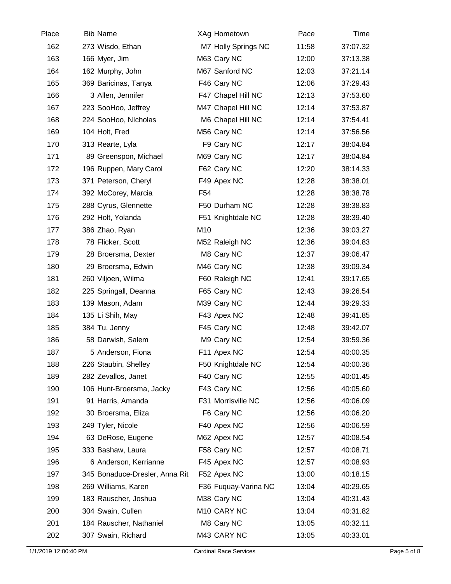| Place | <b>Bib Name</b>                | XAg Hometown         | Pace  | Time     |  |
|-------|--------------------------------|----------------------|-------|----------|--|
| 162   | 273 Wisdo, Ethan               | M7 Holly Springs NC  | 11:58 | 37:07.32 |  |
| 163   | 166 Myer, Jim                  | M63 Cary NC          | 12:00 | 37:13.38 |  |
| 164   | 162 Murphy, John               | M67 Sanford NC       | 12:03 | 37:21.14 |  |
| 165   | 369 Baricinas, Tanya           | F46 Cary NC          | 12:06 | 37:29.43 |  |
| 166   | 3 Allen, Jennifer              | F47 Chapel Hill NC   | 12:13 | 37:53.60 |  |
| 167   | 223 SooHoo, Jeffrey            | M47 Chapel Hill NC   | 12:14 | 37:53.87 |  |
| 168   | 224 SooHoo, Nicholas           | M6 Chapel Hill NC    | 12:14 | 37:54.41 |  |
| 169   | 104 Holt, Fred                 | M56 Cary NC          | 12:14 | 37:56.56 |  |
| 170   | 313 Rearte, Lyla               | F9 Cary NC           | 12:17 | 38:04.84 |  |
| 171   | 89 Greenspon, Michael          | M69 Cary NC          | 12:17 | 38:04.84 |  |
| 172   | 196 Ruppen, Mary Carol         | F62 Cary NC          | 12:20 | 38:14.33 |  |
| 173   | 371 Peterson, Cheryl           | F49 Apex NC          | 12:28 | 38:38.01 |  |
| 174   | 392 McCorey, Marcia            | F <sub>54</sub>      | 12:28 | 38:38.78 |  |
| 175   | 288 Cyrus, Glennette           | F50 Durham NC        | 12:28 | 38:38.83 |  |
| 176   | 292 Holt, Yolanda              | F51 Knightdale NC    | 12:28 | 38:39.40 |  |
| 177   | 386 Zhao, Ryan                 | M10                  | 12:36 | 39:03.27 |  |
| 178   | 78 Flicker, Scott              | M52 Raleigh NC       | 12:36 | 39:04.83 |  |
| 179   | 28 Broersma, Dexter            | M8 Cary NC           | 12:37 | 39:06.47 |  |
| 180   | 29 Broersma, Edwin             | M46 Cary NC          | 12:38 | 39:09.34 |  |
| 181   | 260 Viljoen, Wilma             | F60 Raleigh NC       | 12:41 | 39:17.65 |  |
| 182   | 225 Springall, Deanna          | F65 Cary NC          | 12:43 | 39:26.54 |  |
| 183   | 139 Mason, Adam                | M39 Cary NC          | 12:44 | 39:29.33 |  |
| 184   | 135 Li Shih, May               | F43 Apex NC          | 12:48 | 39:41.85 |  |
| 185   | 384 Tu, Jenny                  | F45 Cary NC          | 12:48 | 39:42.07 |  |
| 186   | 58 Darwish, Salem              | M9 Cary NC           | 12:54 | 39:59.36 |  |
| 187   | 5 Anderson, Fiona              | F11 Apex NC          | 12:54 | 40:00.35 |  |
| 188   | 226 Staubin, Shelley           | F50 Knightdale NC    | 12:54 | 40:00.36 |  |
| 189   | 282 Zevallos, Janet            | F40 Cary NC          | 12:55 | 40:01.45 |  |
| 190   | 106 Hunt-Broersma, Jacky       | F43 Cary NC          | 12:56 | 40:05.60 |  |
| 191   | 91 Harris, Amanda              | F31 Morrisville NC   | 12:56 | 40:06.09 |  |
| 192   | 30 Broersma, Eliza             | F6 Cary NC           | 12:56 | 40:06.20 |  |
| 193   | 249 Tyler, Nicole              | F40 Apex NC          | 12:56 | 40:06.59 |  |
| 194   | 63 DeRose, Eugene              | M62 Apex NC          | 12:57 | 40:08.54 |  |
| 195   | 333 Bashaw, Laura              | F58 Cary NC          | 12:57 | 40:08.71 |  |
| 196   | 6 Anderson, Kerrianne          | F45 Apex NC          | 12:57 | 40:08.93 |  |
| 197   | 345 Bonaduce-Dresler, Anna Rit | F52 Apex NC          | 13:00 | 40:18.15 |  |
| 198   | 269 Williams, Karen            | F36 Fuquay-Varina NC | 13:04 | 40:29.65 |  |
| 199   | 183 Rauscher, Joshua           | M38 Cary NC          | 13:04 | 40:31.43 |  |
| 200   | 304 Swain, Cullen              | M10 CARY NC          | 13:04 | 40:31.82 |  |
| 201   | 184 Rauscher, Nathaniel        | M8 Cary NC           | 13:05 | 40:32.11 |  |
| 202   | 307 Swain, Richard             | M43 CARY NC          | 13:05 | 40:33.01 |  |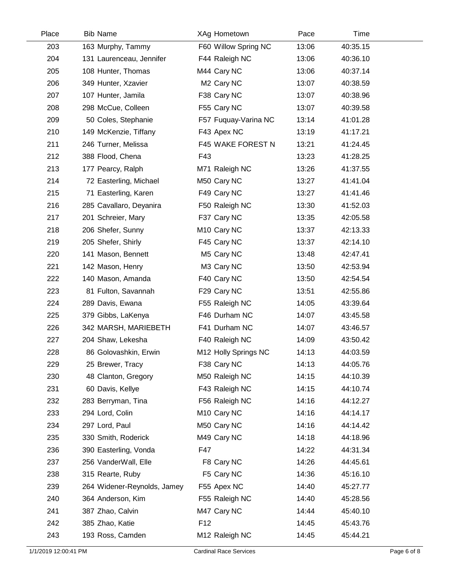| Place | <b>Bib Name</b>             | XAg Hometown            | Pace  | Time     |  |
|-------|-----------------------------|-------------------------|-------|----------|--|
| 203   | 163 Murphy, Tammy           | F60 Willow Spring NC    | 13:06 | 40:35.15 |  |
| 204   | 131 Laurenceau, Jennifer    | F44 Raleigh NC          | 13:06 | 40:36.10 |  |
| 205   | 108 Hunter, Thomas          | M44 Cary NC             | 13:06 | 40:37.14 |  |
| 206   | 349 Hunter, Xzavier         | M <sub>2</sub> Cary NC  | 13:07 | 40:38.59 |  |
| 207   | 107 Hunter, Jamila          | F38 Cary NC             | 13:07 | 40:38.96 |  |
| 208   | 298 McCue, Colleen          | F55 Cary NC             | 13:07 | 40:39.58 |  |
| 209   | 50 Coles, Stephanie         | F57 Fuquay-Varina NC    | 13:14 | 41:01.28 |  |
| 210   | 149 McKenzie, Tiffany       | F43 Apex NC             | 13:19 | 41:17.21 |  |
| 211   | 246 Turner, Melissa         | F45 WAKE FOREST N       | 13:21 | 41:24.45 |  |
| 212   | 388 Flood, Chena            | F43                     | 13:23 | 41:28.25 |  |
| 213   | 177 Pearcy, Ralph           | M71 Raleigh NC          | 13:26 | 41:37.55 |  |
| 214   | 72 Easterling, Michael      | M50 Cary NC             | 13:27 | 41:41.04 |  |
| 215   | 71 Easterling, Karen        | F49 Cary NC             | 13:27 | 41:41.46 |  |
| 216   | 285 Cavallaro, Deyanira     | F50 Raleigh NC          | 13:30 | 41:52.03 |  |
| 217   | 201 Schreier, Mary          | F37 Cary NC             | 13:35 | 42:05.58 |  |
| 218   | 206 Shefer, Sunny           | M <sub>10</sub> Cary NC | 13:37 | 42:13.33 |  |
| 219   | 205 Shefer, Shirly          | F45 Cary NC             | 13:37 | 42:14.10 |  |
| 220   | 141 Mason, Bennett          | M5 Cary NC              | 13:48 | 42:47.41 |  |
| 221   | 142 Mason, Henry            | M3 Cary NC              | 13:50 | 42:53.94 |  |
| 222   | 140 Mason, Amanda           | F40 Cary NC             | 13:50 | 42:54.54 |  |
| 223   | 81 Fulton, Savannah         | F29 Cary NC             | 13:51 | 42:55.86 |  |
| 224   | 289 Davis, Ewana            | F55 Raleigh NC          | 14:05 | 43:39.64 |  |
| 225   | 379 Gibbs, LaKenya          | F46 Durham NC           | 14:07 | 43:45.58 |  |
| 226   | 342 MARSH, MARIEBETH        | F41 Durham NC           | 14:07 | 43:46.57 |  |
| 227   | 204 Shaw, Lekesha           | F40 Raleigh NC          | 14:09 | 43:50.42 |  |
| 228   | 86 Golovashkin, Erwin       | M12 Holly Springs NC    | 14:13 | 44:03.59 |  |
| 229   | 25 Brewer, Tracy            | F38 Cary NC             | 14:13 | 44:05.76 |  |
| 230   | 48 Clanton, Gregory         | M50 Raleigh NC          | 14:15 | 44:10.39 |  |
| 231   | 60 Davis, Kellye            | F43 Raleigh NC          | 14:15 | 44:10.74 |  |
| 232   | 283 Berryman, Tina          | F56 Raleigh NC          | 14:16 | 44:12.27 |  |
| 233   | 294 Lord, Colin             | M <sub>10</sub> Cary NC | 14:16 | 44:14.17 |  |
| 234   | 297 Lord, Paul              | M50 Cary NC             | 14:16 | 44:14.42 |  |
| 235   | 330 Smith, Roderick         | M49 Cary NC             | 14:18 | 44:18.96 |  |
| 236   | 390 Easterling, Vonda       | F47                     | 14:22 | 44:31.34 |  |
| 237   | 256 VanderWall, Elle        | F8 Cary NC              | 14:26 | 44:45.61 |  |
| 238   | 315 Rearte, Ruby            | F5 Cary NC              | 14:36 | 45:16.10 |  |
| 239   | 264 Widener-Reynolds, Jamey | F55 Apex NC             | 14:40 | 45:27.77 |  |
| 240   | 364 Anderson, Kim           | F55 Raleigh NC          | 14:40 | 45:28.56 |  |
| 241   | 387 Zhao, Calvin            | M47 Cary NC             | 14:44 | 45:40.10 |  |
| 242   | 385 Zhao, Katie             | F <sub>12</sub>         | 14:45 | 45:43.76 |  |
| 243   | 193 Ross, Camden            | M12 Raleigh NC          | 14:45 | 45:44.21 |  |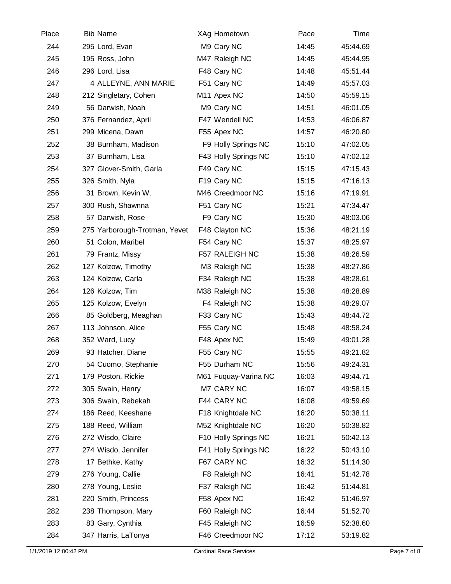| Place | <b>Bib Name</b>               | XAg Hometown            | Pace  | Time     |  |
|-------|-------------------------------|-------------------------|-------|----------|--|
| 244   | 295 Lord, Evan                | M9 Cary NC              | 14:45 | 45:44.69 |  |
| 245   | 195 Ross, John                | M47 Raleigh NC          | 14:45 | 45:44.95 |  |
| 246   | 296 Lord, Lisa                | F48 Cary NC             | 14:48 | 45:51.44 |  |
| 247   | 4 ALLEYNE, ANN MARIE          | F51 Cary NC             | 14:49 | 45:57.03 |  |
| 248   | 212 Singletary, Cohen         | M <sub>11</sub> Apex NC | 14:50 | 45:59.15 |  |
| 249   | 56 Darwish, Noah              | M9 Cary NC              | 14:51 | 46:01.05 |  |
| 250   | 376 Fernandez, April          | F47 Wendell NC          | 14:53 | 46:06.87 |  |
| 251   | 299 Micena, Dawn              | F55 Apex NC             | 14:57 | 46:20.80 |  |
| 252   | 38 Burnham, Madison           | F9 Holly Springs NC     | 15:10 | 47:02.05 |  |
| 253   | 37 Burnham, Lisa              | F43 Holly Springs NC    | 15:10 | 47:02.12 |  |
| 254   | 327 Glover-Smith, Garla       | F49 Cary NC             | 15:15 | 47:15.43 |  |
| 255   | 326 Smith, Nyla               | F <sub>19</sub> Cary NC | 15:15 | 47:16.13 |  |
| 256   | 31 Brown, Kevin W.            | M46 Creedmoor NC        | 15:16 | 47:19.91 |  |
| 257   | 300 Rush, Shawnna             | F51 Cary NC             | 15:21 | 47:34.47 |  |
| 258   | 57 Darwish, Rose              | F9 Cary NC              | 15:30 | 48:03.06 |  |
| 259   | 275 Yarborough-Trotman, Yevet | F48 Clayton NC          | 15:36 | 48:21.19 |  |
| 260   | 51 Colon, Maribel             | F54 Cary NC             | 15:37 | 48:25.97 |  |
| 261   | 79 Frantz, Missy              | F57 RALEIGH NC          | 15:38 | 48:26.59 |  |
| 262   | 127 Kolzow, Timothy           | M3 Raleigh NC           | 15:38 | 48:27.86 |  |
| 263   | 124 Kolzow, Carla             | F34 Raleigh NC          | 15:38 | 48:28.61 |  |
| 264   | 126 Kolzow, Tim               | M38 Raleigh NC          | 15:38 | 48:28.89 |  |
| 265   | 125 Kolzow, Evelyn            | F4 Raleigh NC           | 15:38 | 48:29.07 |  |
| 266   | 85 Goldberg, Meaghan          | F33 Cary NC             | 15:43 | 48:44.72 |  |
| 267   | 113 Johnson, Alice            | F55 Cary NC             | 15:48 | 48:58.24 |  |
| 268   | 352 Ward, Lucy                | F48 Apex NC             | 15:49 | 49:01.28 |  |
| 269   | 93 Hatcher, Diane             | F55 Cary NC             | 15:55 | 49:21.82 |  |
| 270   | 54 Cuomo, Stephanie           | F55 Durham NC           | 15:56 | 49:24.31 |  |
| 271   | 179 Poston, Rickie            | M61 Fuquay-Varina NC    | 16:03 | 49:44.71 |  |
| 272   | 305 Swain, Henry              | M7 CARY NC              | 16:07 | 49:58.15 |  |
| 273   | 306 Swain, Rebekah            | F44 CARY NC             | 16:08 | 49:59.69 |  |
| 274   | 186 Reed, Keeshane            | F18 Knightdale NC       | 16:20 | 50:38.11 |  |
| 275   | 188 Reed, William             | M52 Knightdale NC       | 16:20 | 50:38.82 |  |
| 276   | 272 Wisdo, Claire             | F10 Holly Springs NC    | 16:21 | 50:42.13 |  |
| 277   | 274 Wisdo, Jennifer           | F41 Holly Springs NC    | 16:22 | 50:43.10 |  |
| 278   | 17 Bethke, Kathy              | F67 CARY NC             | 16:32 | 51:14.30 |  |
| 279   | 276 Young, Callie             | F8 Raleigh NC           | 16:41 | 51:42.78 |  |
| 280   | 278 Young, Leslie             | F37 Raleigh NC          | 16:42 | 51:44.81 |  |
| 281   | 220 Smith, Princess           | F58 Apex NC             | 16:42 | 51:46.97 |  |
| 282   | 238 Thompson, Mary            | F60 Raleigh NC          | 16:44 | 51:52.70 |  |
| 283   | 83 Gary, Cynthia              | F45 Raleigh NC          | 16:59 | 52:38.60 |  |
| 284   | 347 Harris, LaTonya           | F46 Creedmoor NC        | 17:12 | 53:19.82 |  |